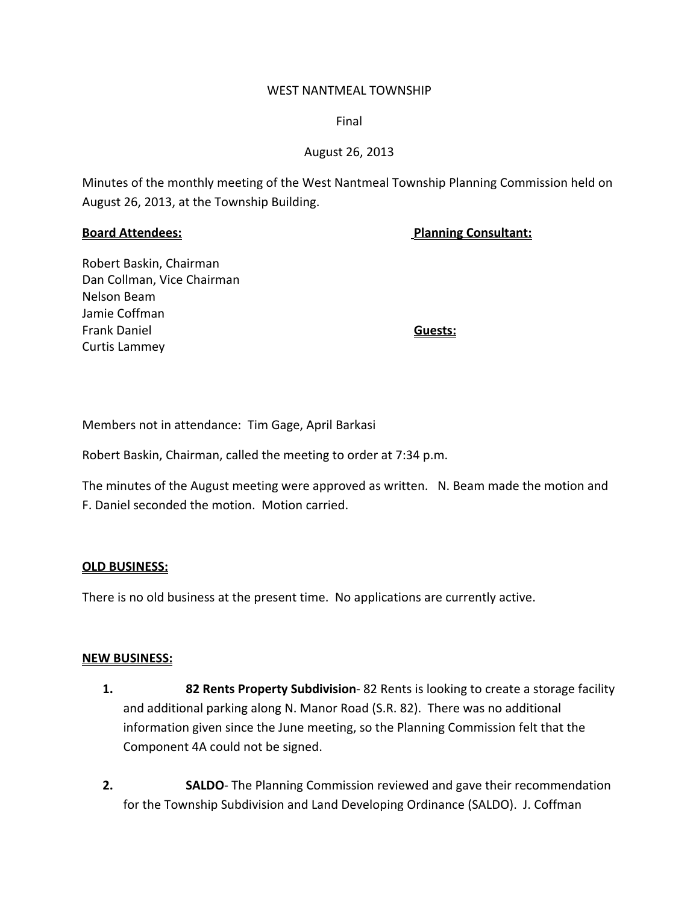#### WEST NANTMEAL TOWNSHIP

Final

## August 26, 2013

Minutes of the monthly meeting of the West Nantmeal Township Planning Commission held on August 26, 2013, at the Township Building.

**Board Attendees: Planning Consultant:**

Robert Baskin, Chairman Dan Collman, Vice Chairman Nelson Beam Jamie Coffman Frank Daniel **Guests:** Curtis Lammey

Members not in attendance: Tim Gage, April Barkasi

Robert Baskin, Chairman, called the meeting to order at 7:34 p.m.

The minutes of the August meeting were approved as written. N. Beam made the motion and F. Daniel seconded the motion. Motion carried.

### **OLD BUSINESS:**

There is no old business at the present time. No applications are currently active.

### **NEW BUSINESS:**

- **1. 82 Rents Property Subdivision**‐ 82 Rents is looking to create a storage facility and additional parking along N. Manor Road (S.R. 82). There was no additional information given since the June meeting, so the Planning Commission felt that the Component 4A could not be signed.
- **2. SALDO**‐ The Planning Commission reviewed and gave their recommendation for the Township Subdivision and Land Developing Ordinance (SALDO). J. Coffman